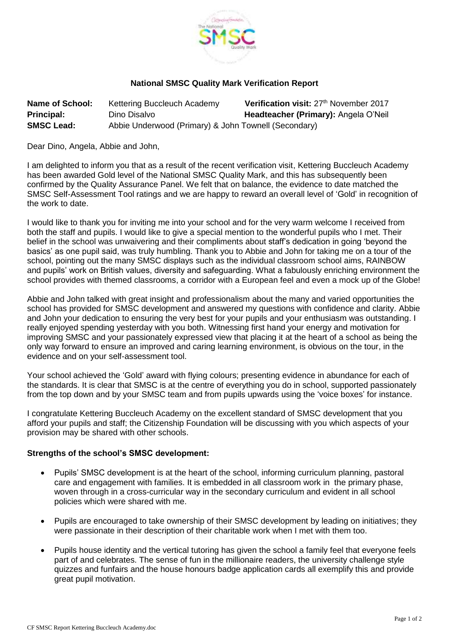

## **National SMSC Quality Mark Verification Report**

| <b>Name of School:</b> | Kettering Buccleuch Academy                          | Verification visit: 27 <sup>th</sup> November 2017 |
|------------------------|------------------------------------------------------|----------------------------------------------------|
| <b>Principal:</b>      | Dino Disalvo                                         | Headteacher (Primary): Angela O'Neil               |
| <b>SMSC Lead:</b>      | Abbie Underwood (Primary) & John Townell (Secondary) |                                                    |

Dear Dino, Angela, Abbie and John,

I am delighted to inform you that as a result of the recent verification visit, Kettering Buccleuch Academy has been awarded Gold level of the National SMSC Quality Mark, and this has subsequently been confirmed by the Quality Assurance Panel. We felt that on balance, the evidence to date matched the SMSC Self-Assessment Tool ratings and we are happy to reward an overall level of 'Gold' in recognition of the work to date.

I would like to thank you for inviting me into your school and for the very warm welcome I received from both the staff and pupils. I would like to give a special mention to the wonderful pupils who I met. Their belief in the school was unwaivering and their compliments about staff's dedication in going 'beyond the basics' as one pupil said, was truly humbling. Thank you to Abbie and John for taking me on a tour of the school, pointing out the many SMSC displays such as the individual classroom school aims, RAINBOW and pupils' work on British values, diversity and safeguarding. What a fabulously enriching environment the school provides with themed classrooms, a corridor with a European feel and even a mock up of the Globe!

Abbie and John talked with great insight and professionalism about the many and varied opportunities the school has provided for SMSC development and answered my questions with confidence and clarity. Abbie and John your dedication to ensuring the very best for your pupils and your enthusiasm was outstanding. I really enjoyed spending yesterday with you both. Witnessing first hand your energy and motivation for improving SMSC and your passionately expressed view that placing it at the heart of a school as being the only way forward to ensure an improved and caring learning environment, is obvious on the tour, in the evidence and on your self-assessment tool.

Your school achieved the 'Gold' award with flying colours; presenting evidence in abundance for each of the standards. It is clear that SMSC is at the centre of everything you do in school, supported passionately from the top down and by your SMSC team and from pupils upwards using the 'voice boxes' for instance.

I congratulate Kettering Buccleuch Academy on the excellent standard of SMSC development that you afford your pupils and staff; the Citizenship Foundation will be discussing with you which aspects of your provision may be shared with other schools.

## **Strengths of the school's SMSC development:**

- Pupils' SMSC development is at the heart of the school, informing curriculum planning, pastoral care and engagement with families. It is embedded in all classroom work in the primary phase, woven through in a cross-curricular way in the secondary curriculum and evident in all school policies which were shared with me.
- Pupils are encouraged to take ownership of their SMSC development by leading on initiatives; they were passionate in their description of their charitable work when I met with them too.
- Pupils house identity and the vertical tutoring has given the school a family feel that everyone feels part of and celebrates. The sense of fun in the millionaire readers, the university challenge style quizzes and funfairs and the house honours badge application cards all exemplify this and provide great pupil motivation.